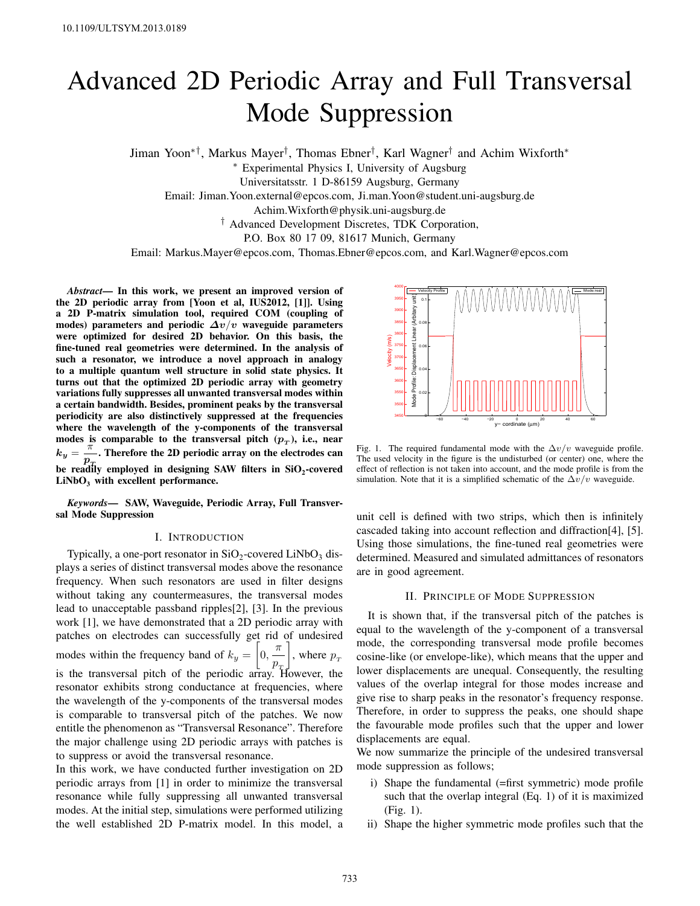# Advanced 2D Periodic Array and Full Transversal Mode Suppression

Jiman Yoon ∗† , Markus Mayer † , Thomas Ebner † , Karl Wagner † and Achim Wixforth ∗

∗ Experimental Physics I, University of Augsburg

Universitatsstr. 1 D-86159 Augsburg, Germany

Email: Jiman.Yoon.external@epcos.com, Ji.man.Yoon@student.uni-augsburg.de

Achim.Wixforth@physik.uni-augsburg.de

† Advanced Development Discretes, TDK Corporation,

P.O. Box 80 17 09, 81617 Munich, Germany

Email: Markus.Mayer@epcos.com, Thomas.Ebner@epcos.com, and Karl.Wagner@epcos.com

*Abstract*— In this work, we present an improved version of the 2D periodic array from [Yoon et al, IUS2012, [1]]. Using a 2D P-matrix simulation tool, required COM (coupling of modes) parameters and periodic *Δv*/*v* waveguide parameters were optimized for desired 2D behavior. On this basis, the fine-tuned real geometries were determined. In the analysis of such a resonator, we introduce a novel approach in analogy to a multiple quantum well structure in solid state physics. It turns out that the optimized 2D periodic array with geometry variations fully suppresses all unwanted transversal modes within a certain bandwidth. Besides, prominent peaks by the transversal periodicity are also distinctively suppressed at the frequencies where the wavelength of the y-components of the transversal modes is comparable to the transversal pitch  $(p_T)$ , i.e., near  $k_y = \frac{\pi}{x}$ . Therefore the 2D periodic array on the electrodes can *pT* be readily employed in designing SAW filters in  $\mathrm{SiO}_2$ -covered  $LiNbO<sub>3</sub>$  with excellent performance.

*Keywords*— SAW, Waveguide, Periodic Array, Full Transversal Mode Suppression

#### I. INTRODUCTION

Typically, a one-port resonator in  $SiO_2$ -covered LiNb $O_3$  displays a series of distinct transversal modes above the resonance frequency. When such resonators are used in filter designs without taking any countermeasures, the transversal modes lead to unacceptable passband ripples[2], [3]. In the previous work [1], we have demonstrated that a 2D periodic array with patches on electrodes can successfully get rid of undesired modes within the frequency band of  $k_y = \left[0, \frac{\pi}{2}\right]$  $\frac{1}{p}$ , where  $p_{\tau}$ is the transversal pitch of the periodic array. However, the resonator exhibits strong conductance at frequencies, where the wavelength of the y-components of the transversal modes is comparable to transversal pitch of the patches. We now entitle the phenomenon as "Transversal Resonance". Therefore the major challenge using 2D periodic arrays with patches is to suppress or avoid the transversal resonance.

In this work, we have conducted further investigation on 2D periodic arrays from [1] in order to minimize the transversal resonance while fully suppressing all unwanted transversal modes. At the initial step, simulations were performed utilizing the well established 2D P-matrix model. In this model, a



Fig. 1. The required fundamental mode with the  $\Delta v/v$  waveguide profile. The used velocity in the figure is the undisturbed (or center) one, where the effect of reflection is not taken into account, and the mode profile is from the simulation. Note that it is a simplified schematic of the  $\Delta v/v$  waveguide.

unit cell is defined with two strips, which then is infinitely cascaded taking into account reflection and diffraction[4], [5]. Using those simulations, the fine-tuned real geometries were determined. Measured and simulated admittances of resonators are in good agreement.

## II. PRINCIPLE OF MODE SUPPRESSION

It is shown that, if the transversal pitch of the patches is equal to the wavelength of the y-component of a transversal mode, the corresponding transversal mode profile becomes cosine-like (or envelope-like), which means that the upper and lower displacements are unequal. Consequently, the resulting values of the overlap integral for those modes increase and give rise to sharp peaks in the resonator's frequency response. Therefore, in order to suppress the peaks, one should shape the favourable mode profiles such that the upper and lower displacements are equal.

We now summarize the principle of the undesired transversal mode suppression as follows;

- i) Shape the fundamental (=first symmetric) mode profile such that the overlap integral (Eq. 1) of it is maximized (Fig. 1).
- ii) Shape the higher symmetric mode profiles such that the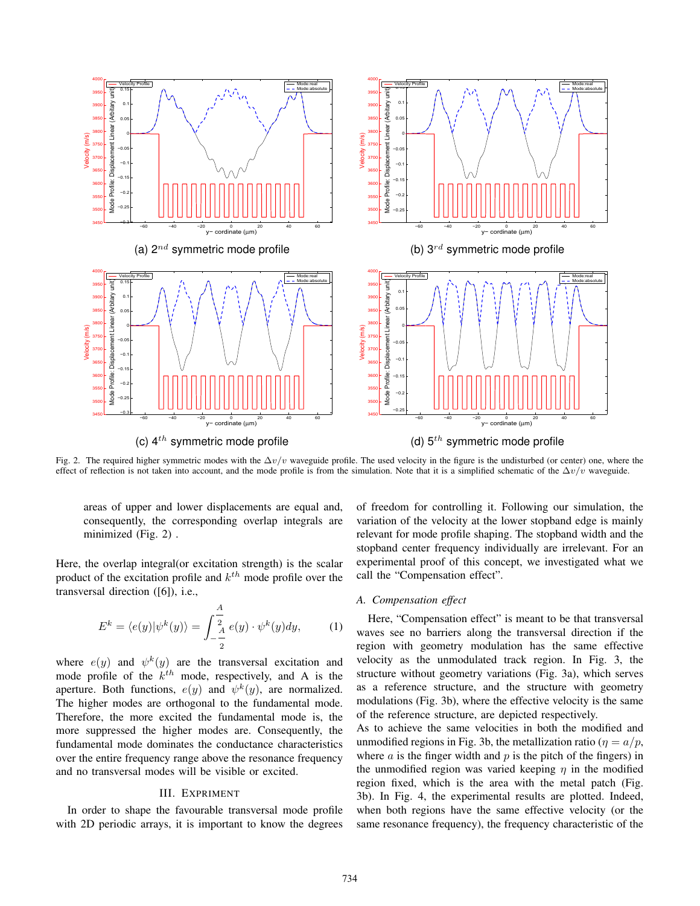

Fig. 2. The required higher symmetric modes with the  $\Delta v/v$  waveguide profile. The used velocity in the figure is the undisturbed (or center) one, where the effect of reflection is not taken into account, and the mode profile is from the simulation. Note that it is a simplified schematic of the  $\Delta v/v$  waveguide.

areas of upper and lower displacements are equal and, consequently, the corresponding overlap integrals are minimized (Fig. 2) .

Here, the overlap integral(or excitation strength) is the scalar product of the excitation profile and  $k^{th}$  mode profile over the transversal direction ([6]), i.e.,

$$
E^{k} = \langle e(y)|\psi^{k}(y)\rangle = \int_{-\frac{A}{2}}^{\frac{A}{2}} e(y) \cdot \psi^{k}(y) dy, \quad (1)
$$

where  $e(y)$  and  $\psi^k(y)$  are the transversal excitation and mode profile of the  $k^{th}$  mode, respectively, and A is the aperture. Both functions,  $e(y)$  and  $\psi^k(y)$ , are normalized. The higher modes are orthogonal to the fundamental mode. Therefore, the more excited the fundamental mode is, the more suppressed the higher modes are. Consequently, the fundamental mode dominates the conductance characteristics over the entire frequency range above the resonance frequency and no transversal modes will be visible or excited.

# III. EXPRIMENT

In order to shape the favourable transversal mode profile with 2D periodic arrays, it is important to know the degrees

of freedom for controlling it. Following our simulation, the variation of the velocity at the lower stopband edge is mainly relevant for mode profile shaping. The stopband width and the stopband center frequency individually are irrelevant. For an experimental proof of this concept, we investigated what we call the "Compensation effect".

#### *A. Compensation effect*

Here, "Compensation effect" is meant to be that transversal waves see no barriers along the transversal direction if the region with geometry modulation has the same effective velocity as the unmodulated track region. In Fig. 3, the structure without geometry variations (Fig. 3a), which serves as a reference structure, and the structure with geometry modulations (Fig. 3b), where the effective velocity is the same of the reference structure, are depicted respectively.

As to achieve the same velocities in both the modified and unmodified regions in Fig. 3b, the metallization ratio ( $\eta = a/p$ , where  $a$  is the finger width and  $p$  is the pitch of the fingers) in the unmodified region was varied keeping  $\eta$  in the modified region fixed, which is the area with the metal patch (Fig. 3b). In Fig. 4, the experimental results are plotted. Indeed, when both regions have the same effective velocity (or the same resonance frequency), the frequency characteristic of the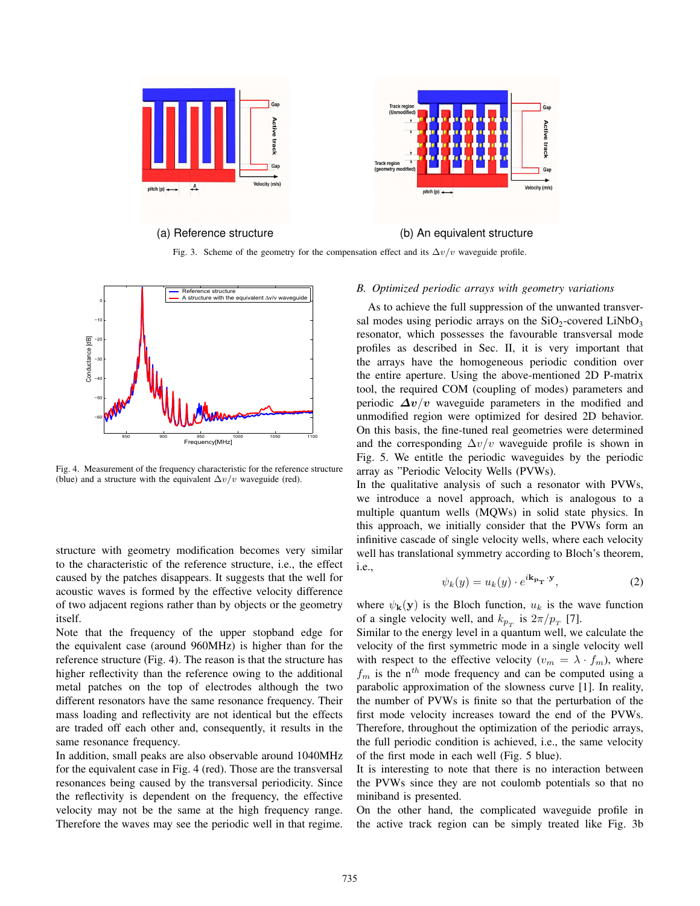

Fig. 3. Scheme of the geometry for the compensation effect and its  $\Delta v/v$  waveguide profile.



Fig. 4. Measurement of the frequency characteristic for the reference structure (blue) and a structure with the equivalent  $\Delta v/v$  waveguide (red).

structure with geometry modification becomes very similar to the characteristic of the reference structure, i.e., the effect caused by the patches disappears. It suggests that the well for acoustic waves is formed by the effective velocity difference of two adjacent regions rather than by objects or the geometry itself.

Note that the frequency of the upper stopband edge for the equivalent case (around 960MHz) is higher than for the reference structure (Fig. 4). The reason is that the structure has higher reflectivity than the reference owing to the additional metal patches on the top of electrodes although the two different resonators have the same resonance frequency. Their mass loading and reflectivity are not identical but the effects are traded off each other and, consequently, it results in the same resonance frequency.

In addition, small peaks are also observable around 1040MHz for the equivalent case in Fig. 4 (red). Those are the transversal resonances being caused by the transversal periodicity. Since the reflectivity is dependent on the frequency, the effective velocity may not be the same at the high frequency range. Therefore the waves may see the periodic well in that regime.

# *B. Optimized periodic arrays with geometry variations*

As to achieve the full suppression of the unwanted transversal modes using periodic arrays on the  $SiO_2$ -covered  $LiNbO_3$ resonator, which possesses the favourable transversal mode profiles as described in Sec. II, it is very important that the arrays have the homogeneous periodic condition over the entire aperture. Using the above-mentioned 2D P-matrix tool, the required COM (coupling of modes) parameters and periodic  $\Delta v/v$  waveguide parameters in the modified and unmodified region were optimized for desired 2D behavior. On this basis, the fine-tuned real geometries were determined and the corresponding  $\Delta v/v$  waveguide profile is shown in Fig. 5. We entitle the periodic waveguides by the periodic array as "Periodic Velocity Wells (PVWs).

In the qualitative analysis of such a resonator with PVWs, we introduce a novel approach, which is analogous to a multiple quantum wells (MQWs) in solid state physics. In this approach, we initially consider that the PVWs form an infinitive cascade of single velocity wells, where each velocity well has translational symmetry according to Bloch's theorem, i.e.,

$$
\psi_k(y) = u_k(y) \cdot e^{i\mathbf{k}_{\mathbf{p}_{\mathbf{T}}} \cdot \mathbf{y}},\tag{2}
$$

where  $\psi_{\mathbf{k}}(\mathbf{y})$  is the Bloch function,  $u_k$  is the wave function of a single velocity well, and  $k_{p_T}$  is  $2\pi/p_T$  [7].

Similar to the energy level in a quantum well, we calculate the velocity of the first symmetric mode in a single velocity well with respect to the effective velocity  $(v_m = \lambda \cdot f_m)$ , where  $f_m$  is the n<sup>th</sup> mode frequency and can be computed using a parabolic approximation of the slowness curve [1]. In reality, the number of PVWs is finite so that the perturbation of the first mode velocity increases toward the end of the PVWs. Therefore, throughout the optimization of the periodic arrays, the full periodic condition is achieved, i.e., the same velocity of the first mode in each well (Fig. 5 blue).

It is interesting to note that there is no interaction between the PVWs since they are not coulomb potentials so that no miniband is presented.

On the other hand, the complicated waveguide profile in the active track region can be simply treated like Fig. 3b